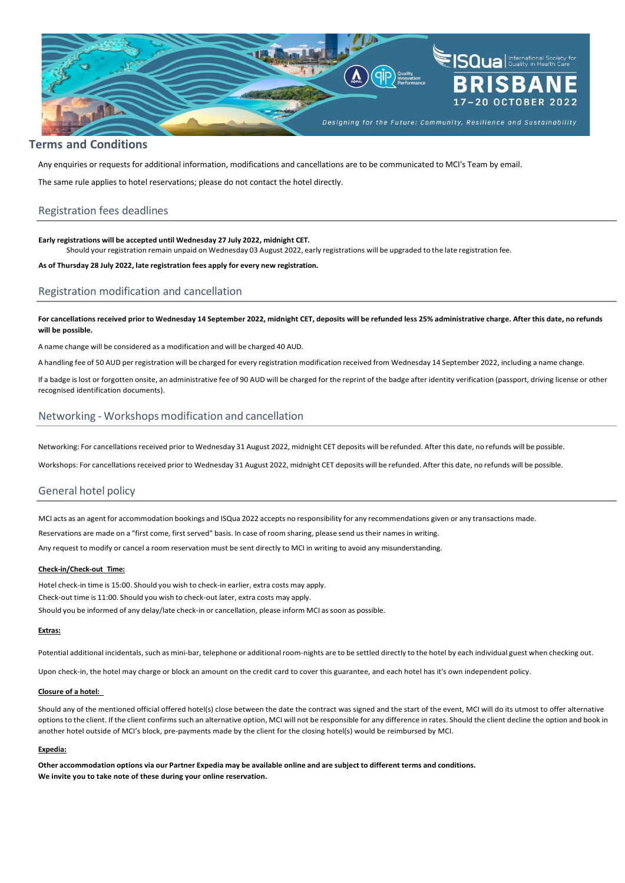

### **Terms and Conditions**

Any enquiries or requests for additional information, modifications and cancellations are to be communicated to MCI's Team by email.

The same rule applies to hotel reservations; please do not contact the hotel directly.

# Registration fees deadlines

#### **Early registrations will be accepted until Wednesday 27 July 2022, midnight CET.**

Should your registration remain unpaid on Wednesday 03 August 2022, early registrations will be upgraded to the late registration fee.

**As of Thursday 28 July 2022, late registration fees apply for every new registration.**

# Registration modification and cancellation

For cancellations received prior to Wednesday 14 September 2022, midnight CET, deposits will be refunded less 25% administrative charge. After this date, no refunds **will be possible.**

A name change will be considered as a modification and will be charged 40 AUD.

A handling fee of 50 AUD per registration will be charged for every registration modification received from Wednesday 14 September 2022, including a name change.

If a badge is lost or forgotten onsite, an administrative fee of 90 AUD will be charged for the reprint of the badge after identity verification (passport, driving license or other recognised identification documents).

## Networking - Workshops modification and cancellation

Networking: For cancellations received prior to Wednesday 31 August 2022, midnight CET deposits will be refunded. After this date, no refunds will be possible.

Workshops: For cancellationsreceived prior to Wednesday 31 August 2022, midnight CET deposits will be refunded. After this date, no refunds will be possible.

## General hotel policy

MCI acts as an agent for accommodation bookings and ISQua 2022 accepts no responsibility for any recommendations given or any transactions made.

Reservations are made on a "first come, first served" basis. In case of room sharing, please send ustheir names in writing.

Any request to modify or cancel a room reservation must be sent directly to MCI in writing to avoid any misunderstanding.

# **Check-in/Check-out Time:**

Hotel check-in time is 15:00. Should you wish to check-in earlier, extra costs may apply. Check-out time is 11:00. Should you wish to check-out later, extra costs may apply. Should you be informed of any delay/late check-in or cancellation, please inform MCI as soon as possible.

#### **Extras:**

Potential additional incidentals, such as mini-bar, telephone or additional room-nights are to be settled directly to the hotel by each individual guest when checking out.

Upon check-in, the hotel may charge or block an amount on the credit card to cover this guarantee, and each hotel has it's own independent policy.

#### **Closure of a hotel:**

Should any of the mentioned official offered hotel(s) close between the date the contract was signed and the start of the event, MCI will do its utmost to offer alternative options to the client. If the client confirmssuch an alternative option, MCI will not be responsible for any difference in rates. Should the client decline the option and book in another hotel outside of MCI's block, pre-payments made by the client for the closing hotel(s) would be reimbursed by MCI.

### **Expedia:**

Other accommodation options via our Partner Expedia may be available online and are subject to different terms and conditions. **We invite you to take note of these during your online reservation.**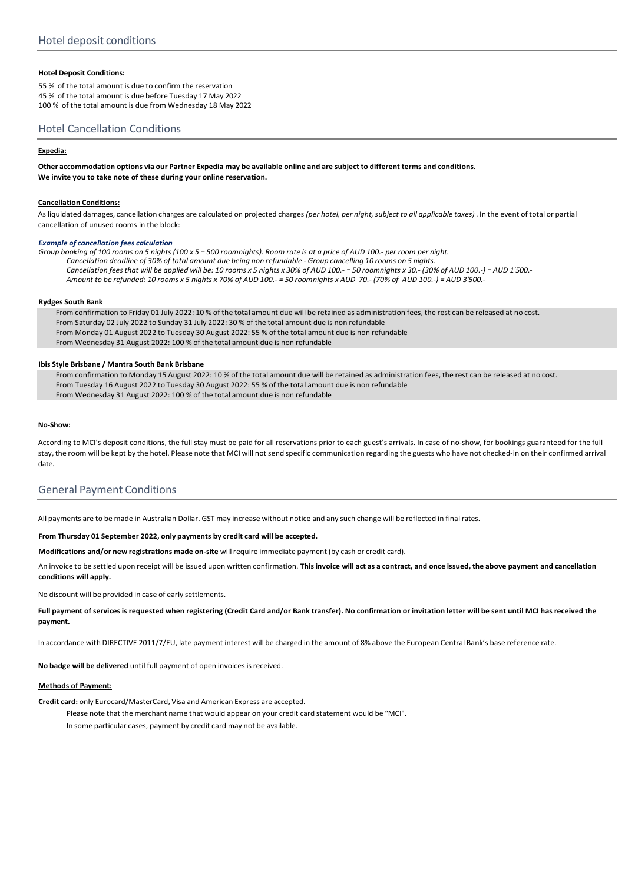## **Hotel Deposit Conditions:**

55 % of the total amount is due to confirm the reservation 45 % of the total amount is due before Tuesday 17 May 2022 100 % of the total amount is due from Wednesday 18 May 2022

# Hotel Cancellation Conditions

### **Expedia:**

Other accommodation options via our Partner Expedia may be available online and are subject to different terms and conditions. **We invite you to take note of these during your online reservation.**

### **Cancellation Conditions:**

As liquidated damages, cancellation charges are calculated on projected charges (per hotel, per night, subject to all applicable taxes). In the event of total or partial cancellation of unused rooms in the block:

#### *Example of cancellation fees calculation*

Group booking of 100 rooms on 5 nights (100 x 5 = 500 roomnights). Room rate is at a price of AUD 100.- per room per night. Cancellation deadline of 30% of total amount due being non refundable - Group cancelling 10 rooms on 5 nights. Cancellation fees that will be applied will be: 10 rooms x 5 nights x 30% of AUD 100. - 50 roomnights x 30.- (30% of AUD 100.-) = AUD 1'500.-Amount to be refunded: 10 rooms x 5 nights x 70% of AUD 100.- = 50 roomnights x AUD 70.- (70% of AUD 100.-) = AUD 3'500.-

### **Rydges South Bank**

From confirmation to Friday 01 July 2022: 10 % of the total amount due will be retained as administration fees, the rest can be released at no cost. From Saturday 02 July 2022 to Sunday 31 July 2022: 30 % of the total amount due is non refundable From Monday 01 August 2022 to Tuesday 30 August 2022: 55 % of the total amount due is non refundable From Wednesday 31 August 2022: 100 % of the total amount due is non refundable

### **Ibis Style Brisbane / Mantra South Bank Brisbane**

From confirmation to Monday 15 August 2022: 10 % of the total amount due will be retained as administration fees, the rest can be released at no cost. From Tuesday 16 August 2022 to Tuesday 30 August 2022: 55 % of the total amount due is non refundable From Wednesday 31 August 2022: 100 % of the total amount due is non refundable

#### **No-Show:**

According to MCI's deposit conditions, the full stay must be paid for all reservations prior to each guest's arrivals. In case of no-show, for bookings guaranteed for the full stay, the room will be kept by the hotel. Please note that MCI will not send specific communication regarding the guests who have not checked-in on their confirmed arrival date.

## General Payment Conditions

All payments are to be made in Australian Dollar. GST may increase without notice and any such change will be reflected in final rates.

### **From Thursday 01 September 2022, only payments by credit card will be accepted.**

**Modifications and/or new registrations made on-site** willrequire immediate payment (by cash or credit card).

An invoice to be settled upon receipt will be issued upon written confirmation. This invoice will act as a contract, and once issued, the above payment and cancellation **conditions will apply.**

No discount will be provided in case of early settlements.

Full payment of services is requested when registering (Credit Card and/or Bank transfer). No confirmation or invitation letter will be sent until MCI has received the **payment.**

In accordance with DIRECTIVE 2011/7/EU, late payment interest will be charged in the amount of 8% above the European Central Bank's base reference rate.

**No badge will be delivered** until full payment of open invoices isreceived.

### **Methods of Payment:**

**Credit card:** only Eurocard/MasterCard, Visa and American Express are accepted.

Please note that the merchant name that would appear on your credit card statement would be "MCI".

In some particular cases, payment by credit card may not be available.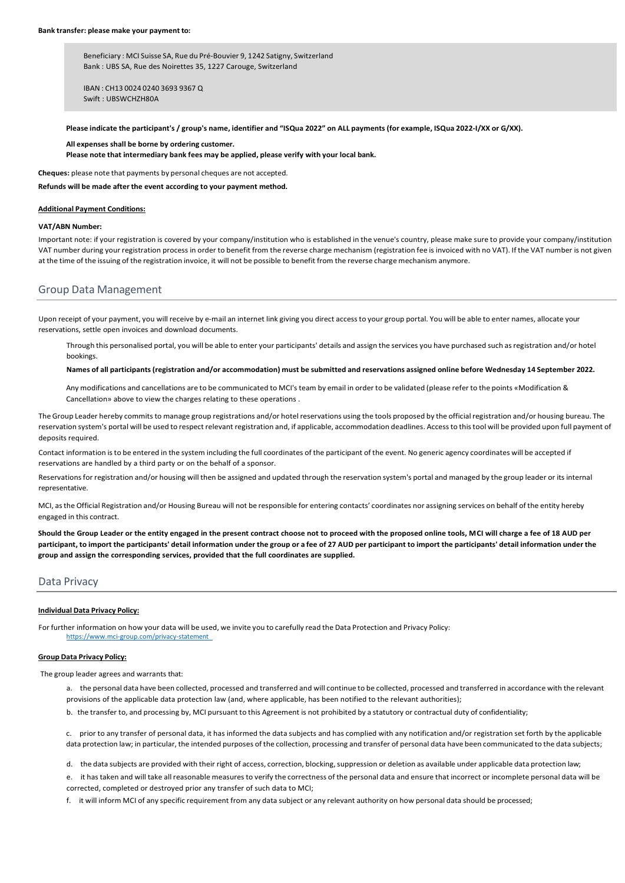Beneficiary : MCI Suisse SA, Rue du Pré-Bouvier 9, 1242 Satigny, Switzerland Bank : UBS SA, Rue des Noirettes 35, 1227 Carouge, Switzerland

IBAN : CH13 0024 0240 3693 9367 Q Swift : UBSWCHZH80A

Please indicate the participant's / group's name, identifier and "ISQua 2022" on ALL payments (for example, ISQua 2022-I/XX or G/XX).

**All expenses shall be borne by ordering customer. Please note that intermediary bank fees may be applied, please verify with your local bank.**

**Cheques:** please note that payments by personal cheques are not accepted.

**Refunds will be made after the event according to your payment method.**

#### **Additional Payment Conditions:**

### **VAT/ABN Number:**

Important note: if your registration is covered by your company/institution who is established in the venue's country, please make sure to provide your company/institution VAT number during your registration process in order to benefit from the reverse charge mechanism (registration fee is invoiced with no VAT). If the VAT number is not given at the time of the issuing of the registration invoice, it will not be possible to benefit from the reverse charge mechanism anymore.

## Group Data Management

Upon receipt of your payment, you will receive by e-mail an internet link giving you direct accessto your group portal. You will be able to enter names, allocate your reservations, settle open invoices and download documents.

Through this personalised portal, you will be able to enter your participants' details and assign the services you have purchased such asregistration and/or hotel bookings.

#### Names of all participants (registration and/or accommodation) must be submitted and reservations assigned online before Wednesday 14 September 2022.

Any modifications and cancellations are to be communicated to MCI's team by email in order to be validated (please refer to the points «Modification & Cancellation» above to view the charges relating to these operations .

The Group Leader hereby commits to manage group registrations and/or hotel reservations using the tools proposed by the officialregistration and/or housing bureau. The reservation system's portal will be used to respect relevant registration and, if applicable, accommodation deadlines. Accessto thistool will be provided upon full payment of deposits required.

Contact information isto be entered in the system including the full coordinates of the participant of the event. No generic agency coordinates will be accepted if reservations are handled by a third party or on the behalf of a sponsor.

Reservations for registration and/or housing will then be assigned and updated through the reservation system's portal and managed by the group leader or its internal representative.

MCI, asthe Official Registration and/or Housing Bureau will not be responsible for entering contacts' coordinates nor assigning services on behalf of the entity hereby engaged in this contract.

**Should the Group Leader or the entity engaged in the present contract choose not to proceed with the proposed online tools, MCI will charge a fee of 18 AUD per** participant, to import the participants' detail information under the group or a fee of 27 AUD per participant to import the participants' detail information under the **group and assign the corresponding services, provided that the full coordinates are supplied.**

## Data Privacy

### **Individual Data Privacy Policy:**

For further information on how your data will be used, we invite you to carefully read the Data Protection and Privacy Policy: <https://www.mci-group.com/privacy-statement>

### **Group Data Privacy Policy:**

The group leader agrees and warrants that:

- a. the personal data have been collected, processed and transferred and will continue to be collected, processed and transferred in accordance with the relevant provisions of the applicable data protection law (and, where applicable, has been notified to the relevant authorities);
- b. the transfer to, and processing by, MCI pursuant to this Agreement is not prohibited by a statutory or contractual duty of confidentiality;

c. prior to any transfer of personal data, it has informed the data subjects and has complied with any notification and/or registration set forth by the applicable data protection law; in particular, the intended purposes of the collection, processing and transfer of personal data have been communicated to the data subjects;

d. the data subjects are provided with their right of access, correction, blocking,suppression or deletion as available under applicable data protection law;

e. it hastaken and will take allreasonable measures to verify the correctness of the personal data and ensure that incorrect or incomplete personal data will be corrected, completed or destroyed prior any transfer of such data to MCI;

f. it will inform MCI of any specific requirement from any data subject or any relevant authority on how personal data should be processed;